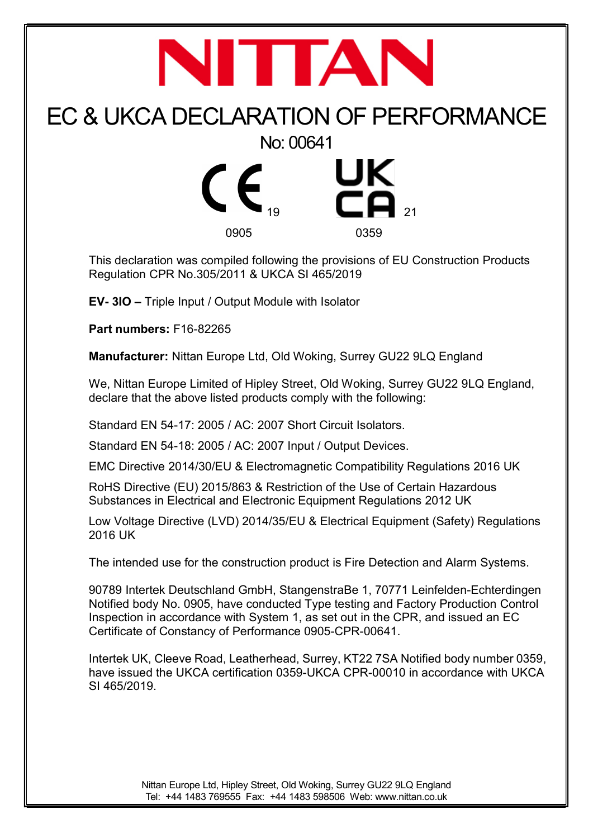

## EC & UKCA DECLARATION OF PERFORMANCE

No: 00641



This declaration was compiled following the provisions of EU Construction Products Regulation CPR No.305/2011 & UKCA SI 465/2019

EV- 3IO – Triple Input / Output Module with Isolator

Part numbers: F16-82265

Manufacturer: Nittan Europe Ltd, Old Woking, Surrey GU22 9LQ England

We, Nittan Europe Limited of Hipley Street, Old Woking, Surrey GU22 9LQ England, declare that the above listed products comply with the following:

Standard EN 54-17: 2005 / AC: 2007 Short Circuit Isolators.

Standard EN 54-18: 2005 / AC: 2007 Input / Output Devices.

EMC Directive 2014/30/EU & Electromagnetic Compatibility Regulations 2016 UK

RoHS Directive (EU) 2015/863 & Restriction of the Use of Certain Hazardous Substances in Electrical and Electronic Equipment Regulations 2012 UK

Low Voltage Directive (LVD) 2014/35/EU & Electrical Equipment (Safety) Regulations 2016 UK

The intended use for the construction product is Fire Detection and Alarm Systems.

90789 Intertek Deutschland GmbH, StangenstraBe 1, 70771 Leinfelden-Echterdingen Notified body No. 0905, have conducted Type testing and Factory Production Control Inspection in accordance with System 1, as set out in the CPR, and issued an EC Certificate of Constancy of Performance 0905-CPR-00641.

Intertek UK, Cleeve Road, Leatherhead, Surrey, KT22 7SA Notified body number 0359, have issued the UKCA certification 0359-UKCA CPR-00010 in accordance with UKCA SI 465/2019.